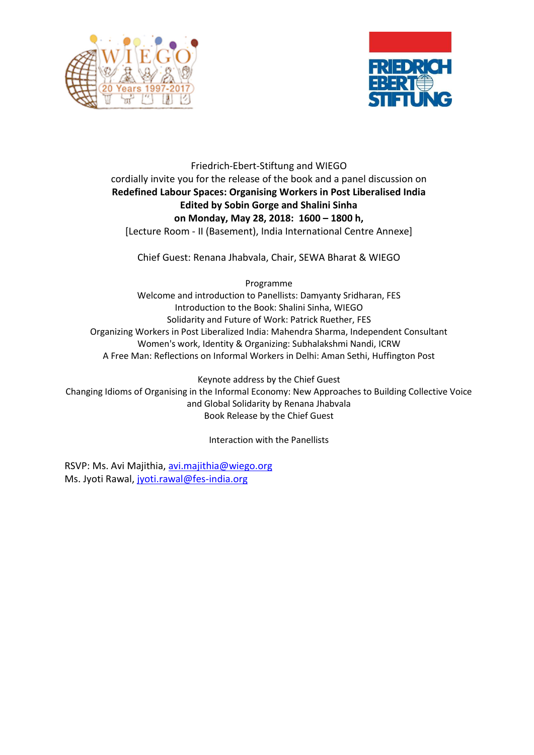



## Friedrich-Ebert-Stiftung and WIEGO cordially invite you for the release of the book and a panel discussion on **Redefined Labour Spaces: Organising Workers in Post Liberalised India Edited by Sobin Gorge and Shalini Sinha on Monday, May 28, 2018: 1600 – 1800 h,** [Lecture Room - II (Basement), India International Centre Annexe]

Chief Guest: Renana Jhabvala, Chair, SEWA Bharat & WIEGO

Programme

Welcome and introduction to Panellists: Damyanty Sridharan, FES Introduction to the Book: Shalini Sinha, WIEGO Solidarity and Future of Work: Patrick Ruether, FES Organizing Workers in Post Liberalized India: Mahendra Sharma, Independent Consultant Women's work, Identity & Organizing: Subhalakshmi Nandi, ICRW A Free Man: Reflections on Informal Workers in Delhi: Aman Sethi, Huffington Post

Keynote address by the Chief Guest Changing Idioms of Organising in the Informal Economy: New Approaches to Building Collective Voice and Global Solidarity by Renana Jhabvala Book Release by the Chief Guest

Interaction with the Panellists

RSVP: Ms. Avi Majithia[, avi.majithia@wiego.org](mailto:avi.majithia@wiego.org) Ms. Jyoti Rawal, [jyoti.rawal@fes-india.org](mailto:jyoti.rawal@fes-india.org)